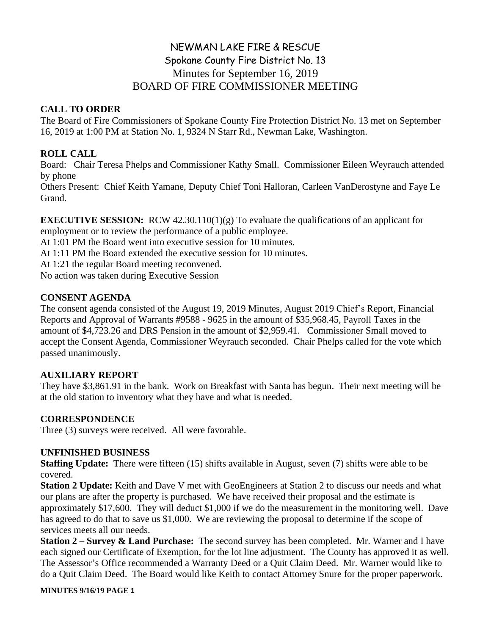# NEWMAN LAKE FIRE & RESCUE Spokane County Fire District No. 13 Minutes for September 16, 2019 BOARD OF FIRE COMMISSIONER MEETING

### **CALL TO ORDER**

The Board of Fire Commissioners of Spokane County Fire Protection District No. 13 met on September 16, 2019 at 1:00 PM at Station No. 1, 9324 N Starr Rd., Newman Lake, Washington.

## **ROLL CALL**

Board: Chair Teresa Phelps and Commissioner Kathy Small. Commissioner Eileen Weyrauch attended by phone

Others Present: Chief Keith Yamane, Deputy Chief Toni Halloran, Carleen VanDerostyne and Faye Le Grand.

**EXECUTIVE SESSION:** RCW 42.30.110(1)(g) To evaluate the qualifications of an applicant for employment or to review the performance of a public employee.

At 1:01 PM the Board went into executive session for 10 minutes.

At 1:11 PM the Board extended the executive session for 10 minutes.

At 1:21 the regular Board meeting reconvened.

No action was taken during Executive Session

#### **CONSENT AGENDA**

The consent agenda consisted of the August 19, 2019 Minutes, August 2019 Chief's Report, Financial Reports and Approval of Warrants #9588 - 9625 in the amount of \$35,968.45, Payroll Taxes in the amount of \$4,723.26 and DRS Pension in the amount of \$2,959.41. Commissioner Small moved to accept the Consent Agenda, Commissioner Weyrauch seconded. Chair Phelps called for the vote which passed unanimously.

## **AUXILIARY REPORT**

They have \$3,861.91 in the bank. Work on Breakfast with Santa has begun. Their next meeting will be at the old station to inventory what they have and what is needed.

#### **CORRESPONDENCE**

Three (3) surveys were received. All were favorable.

#### **UNFINISHED BUSINESS**

**Staffing Update:** There were fifteen (15) shifts available in August, seven (7) shifts were able to be covered.

**Station 2 Update:** Keith and Dave V met with GeoEngineers at Station 2 to discuss our needs and what our plans are after the property is purchased. We have received their proposal and the estimate is approximately \$17,600. They will deduct \$1,000 if we do the measurement in the monitoring well. Dave has agreed to do that to save us \$1,000. We are reviewing the proposal to determine if the scope of services meets all our needs.

**Station 2 – Survey & Land Purchase:** The second survey has been completed. Mr. Warner and I have each signed our Certificate of Exemption, for the lot line adjustment. The County has approved it as well. The Assessor's Office recommended a Warranty Deed or a Quit Claim Deed. Mr. Warner would like to do a Quit Claim Deed. The Board would like Keith to contact Attorney Snure for the proper paperwork.

#### **MINUTES 9/16/19 PAGE 1**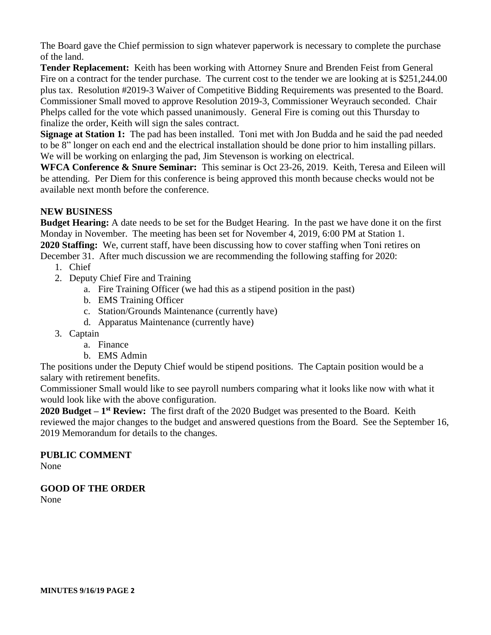The Board gave the Chief permission to sign whatever paperwork is necessary to complete the purchase of the land.

**Tender Replacement:** Keith has been working with Attorney Snure and Brenden Feist from General Fire on a contract for the tender purchase. The current cost to the tender we are looking at is \$251,244.00 plus tax. Resolution #2019-3 Waiver of Competitive Bidding Requirements was presented to the Board. Commissioner Small moved to approve Resolution 2019-3, Commissioner Weyrauch seconded. Chair Phelps called for the vote which passed unanimously. General Fire is coming out this Thursday to finalize the order, Keith will sign the sales contract.

**Signage at Station 1:** The pad has been installed. Toni met with Jon Budda and he said the pad needed to be 8" longer on each end and the electrical installation should be done prior to him installing pillars. We will be working on enlarging the pad, Jim Stevenson is working on electrical.

**WFCA Conference & Snure Seminar:** This seminar is Oct 23-26, 2019. Keith, Teresa and Eileen will be attending. Per Diem for this conference is being approved this month because checks would not be available next month before the conference.

## **NEW BUSINESS**

**Budget Hearing:** A date needs to be set for the Budget Hearing. In the past we have done it on the first Monday in November. The meeting has been set for November 4, 2019, 6:00 PM at Station 1. **2020 Staffing:** We, current staff, have been discussing how to cover staffing when Toni retires on December 31. After much discussion we are recommending the following staffing for 2020:

- 1. Chief
- 2. Deputy Chief Fire and Training
	- a. Fire Training Officer (we had this as a stipend position in the past)
	- b. EMS Training Officer
	- c. Station/Grounds Maintenance (currently have)
	- d. Apparatus Maintenance (currently have)
- 3. Captain
	- a. Finance
	- b. EMS Admin

The positions under the Deputy Chief would be stipend positions. The Captain position would be a salary with retirement benefits.

Commissioner Small would like to see payroll numbers comparing what it looks like now with what it would look like with the above configuration.

**2020 Budget – 1 st Review:** The first draft of the 2020 Budget was presented to the Board. Keith reviewed the major changes to the budget and answered questions from the Board. See the September 16, 2019 Memorandum for details to the changes.

#### **PUBLIC COMMENT**

None

#### **GOOD OF THE ORDER**

None